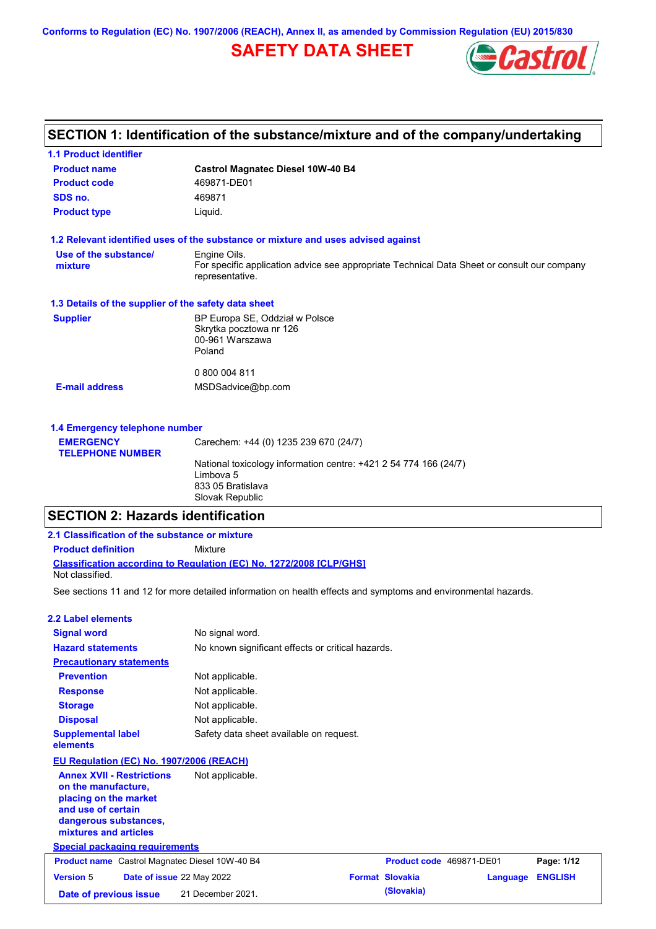**Conforms to Regulation (EC) No. 1907/2006 (REACH), Annex II, as amended by Commission Regulation (EU) 2015/830**

# **SAFETY DATA SHEET**



# **SECTION 1: Identification of the substance/mixture and of the company/undertaking**

| <b>1.1 Product identifier</b>                        |                                                                                                                |
|------------------------------------------------------|----------------------------------------------------------------------------------------------------------------|
| <b>Product name</b>                                  | <b>Castrol Magnatec Diesel 10W-40 B4</b>                                                                       |
| <b>Product code</b>                                  | 469871-DE01                                                                                                    |
| SDS no.                                              | 469871                                                                                                         |
| <b>Product type</b>                                  | Liquid.                                                                                                        |
|                                                      | 1.2 Relevant identified uses of the substance or mixture and uses advised against                              |
| Use of the substance/                                | Engine Oils.                                                                                                   |
| mixture                                              | For specific application advice see appropriate Technical Data Sheet or consult our company<br>representative. |
| 1.3 Details of the supplier of the safety data sheet |                                                                                                                |
| <b>Supplier</b>                                      | BP Europa SE, Oddział w Polsce                                                                                 |
|                                                      | Skrytka pocztowa nr 126                                                                                        |
|                                                      | 00-961 Warszawa<br>Poland                                                                                      |
|                                                      |                                                                                                                |
|                                                      | 0 800 004 811                                                                                                  |
| <b>E-mail address</b>                                | MSDSadvice@bp.com                                                                                              |
|                                                      |                                                                                                                |
| 1.4 Emergency telephone number                       |                                                                                                                |
|                                                      |                                                                                                                |

| <b>EMERGENCY</b>        | Carechem: +44 (0) 1235 239 670 (24/7)                            |
|-------------------------|------------------------------------------------------------------|
| <b>TELEPHONE NUMBER</b> |                                                                  |
|                         | National toxicology information centre: +421 2 54 774 166 (24/7) |
|                         | Limbova 5                                                        |
|                         | 833 05 Bratislava                                                |
|                         | Slovak Republic                                                  |
|                         |                                                                  |

**Date of previous issue (Slovakia)** 21 December 2021.

# **SECTION 2: Hazards identification**

| 2.1 Classification of the substance or mixture                                                                                                                                                    |                                                                                                                |                          |          |                |
|---------------------------------------------------------------------------------------------------------------------------------------------------------------------------------------------------|----------------------------------------------------------------------------------------------------------------|--------------------------|----------|----------------|
| <b>Product definition</b>                                                                                                                                                                         | Mixture                                                                                                        |                          |          |                |
| Not classified.                                                                                                                                                                                   | Classification according to Regulation (EC) No. 1272/2008 [CLP/GHS]                                            |                          |          |                |
|                                                                                                                                                                                                   | See sections 11 and 12 for more detailed information on health effects and symptoms and environmental hazards. |                          |          |                |
| 2.2 Label elements                                                                                                                                                                                |                                                                                                                |                          |          |                |
| <b>Signal word</b>                                                                                                                                                                                | No signal word.                                                                                                |                          |          |                |
| <b>Hazard statements</b>                                                                                                                                                                          | No known significant effects or critical hazards.                                                              |                          |          |                |
| <b>Precautionary statements</b>                                                                                                                                                                   |                                                                                                                |                          |          |                |
| <b>Prevention</b>                                                                                                                                                                                 | Not applicable.                                                                                                |                          |          |                |
| <b>Response</b>                                                                                                                                                                                   | Not applicable.                                                                                                |                          |          |                |
| <b>Storage</b>                                                                                                                                                                                    | Not applicable.                                                                                                |                          |          |                |
| <b>Disposal</b>                                                                                                                                                                                   | Not applicable.                                                                                                |                          |          |                |
| <b>Supplemental label</b><br>elements                                                                                                                                                             | Safety data sheet available on request.                                                                        |                          |          |                |
| EU Regulation (EC) No. 1907/2006 (REACH)                                                                                                                                                          |                                                                                                                |                          |          |                |
| <b>Annex XVII - Restrictions</b><br>on the manufacture.<br>placing on the market<br>and use of certain<br>dangerous substances,<br>mixtures and articles<br><b>Special packaging requirements</b> | Not applicable.                                                                                                |                          |          |                |
| <b>Product name</b> Castrol Magnatec Diesel 10W-40 B4                                                                                                                                             |                                                                                                                | Product code 469871-DE01 |          | Page: 1/12     |
| <b>Version 5</b><br>Date of issue 22 May 2022                                                                                                                                                     |                                                                                                                | <b>Format Slovakia</b>   | Language | <b>ENGLISH</b> |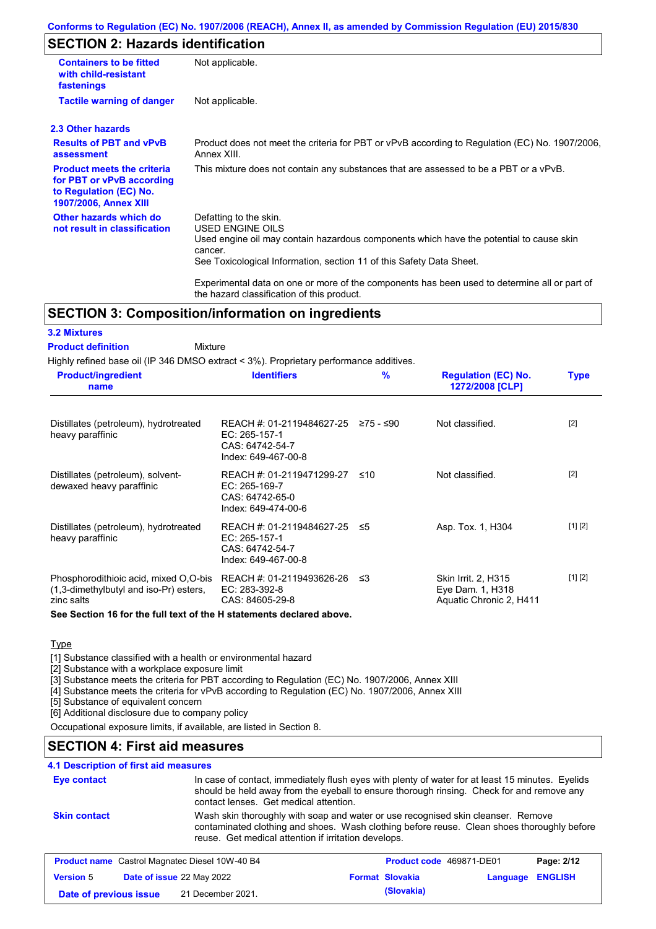# **SECTION 2: Hazards identification**

| <b>Containers to be fitted</b><br>with child-resistant<br>fastenings                                                     | Not applicable.                                                                                                                                                                                                                 |
|--------------------------------------------------------------------------------------------------------------------------|---------------------------------------------------------------------------------------------------------------------------------------------------------------------------------------------------------------------------------|
| <b>Tactile warning of danger</b>                                                                                         | Not applicable.                                                                                                                                                                                                                 |
| 2.3 Other hazards                                                                                                        |                                                                                                                                                                                                                                 |
| <b>Results of PBT and vPvB</b><br>assessment                                                                             | Product does not meet the criteria for PBT or vPvB according to Regulation (EC) No. 1907/2006,<br>Annex XIII.                                                                                                                   |
| <b>Product meets the criteria</b><br>for PBT or vPvB according<br>to Regulation (EC) No.<br><b>1907/2006, Annex XIII</b> | This mixture does not contain any substances that are assessed to be a PBT or a vPvB.                                                                                                                                           |
| Other hazards which do<br>not result in classification                                                                   | Defatting to the skin.<br><b>USED ENGINE OILS</b><br>Used engine oil may contain hazardous components which have the potential to cause skin<br>cancer.<br>See Toxicological Information, section 11 of this Safety Data Sheet. |
|                                                                                                                          | Experimental data on one or more of the components has been used to determine all or part of<br>the hazard classification of this product.                                                                                      |

### **SECTION 3: Composition/information on ingredients**

Mixture

### **3.2 Mixtures**

#### **Product definition**

Highly refined base oil (IP 346 DMSO extract < 3%). Proprietary performance additives.

| <b>Product/ingredient</b><br>name                                                             | <b>Identifiers</b>                                                                                       | $\frac{9}{6}$ | <b>Regulation (EC) No.</b><br>1272/2008 [CLP]                      | <b>Type</b> |
|-----------------------------------------------------------------------------------------------|----------------------------------------------------------------------------------------------------------|---------------|--------------------------------------------------------------------|-------------|
| Distillates (petroleum), hydrotreated<br>heavy paraffinic                                     | REACH #: 01-2119484627-25 $\ge$ 75 - $\le$ 90<br>EC: 265-157-1<br>CAS: 64742-54-7<br>Index: 649-467-00-8 |               | Not classified.                                                    | $[2]$       |
| Distillates (petroleum), solvent-<br>dewaxed heavy paraffinic                                 | REACH #: 01-2119471299-27 ≤10<br>$EC: 265-169-7$<br>CAS: 64742-65-0<br>Index: 649-474-00-6               |               | Not classified.                                                    | $[2]$       |
| Distillates (petroleum), hydrotreated<br>heavy paraffinic                                     | REACH #: 01-2119484627-25 ≤5<br>EC: 265-157-1<br>CAS: 64742-54-7<br>Index: 649-467-00-8                  |               | Asp. Tox. 1, H304                                                  | [1] [2]     |
| Phosphorodithioic acid, mixed O.O-bis<br>(1,3-dimethylbutyl and iso-Pr) esters,<br>zinc salts | REACH #: 01-2119493626-26<br>EC: 283-392-8<br>CAS: 84605-29-8                                            | -≤3           | Skin Irrit. 2, H315<br>Eye Dam. 1, H318<br>Aquatic Chronic 2, H411 | [1] [2]     |

**See Section 16 for the full text of the H statements declared above.**

### **Type**

[1] Substance classified with a health or environmental hazard

[2] Substance with a workplace exposure limit

[3] Substance meets the criteria for PBT according to Regulation (EC) No. 1907/2006, Annex XIII

**Date of previous issue (Slovakia)** 21 December 2021.

[4] Substance meets the criteria for vPvB according to Regulation (EC) No. 1907/2006, Annex XIII

[5] Substance of equivalent concern

[6] Additional disclosure due to company policy

Occupational exposure limits, if available, are listed in Section 8.

## **SECTION 4: First aid measures**

### **4.1 Description of first aid measures**

| Eye contact         |                                                                                                                                                                                                                                        | In case of contact, immediately flush eyes with plenty of water for at least 15 minutes. Eyelids<br>should be held away from the eyeball to ensure thorough rinsing. Check for and remove any<br>contact lenses. Get medical attention. |                          |          |                |
|---------------------|----------------------------------------------------------------------------------------------------------------------------------------------------------------------------------------------------------------------------------------|-----------------------------------------------------------------------------------------------------------------------------------------------------------------------------------------------------------------------------------------|--------------------------|----------|----------------|
| <b>Skin contact</b> | Wash skin thoroughly with soap and water or use recognised skin cleanser. Remove<br>contaminated clothing and shoes. Wash clothing before reuse. Clean shoes thoroughly before<br>reuse. Get medical attention if irritation develops. |                                                                                                                                                                                                                                         |                          |          |                |
|                     | <b>Product name</b> Castrol Magnatec Diesel 10W-40 B4                                                                                                                                                                                  |                                                                                                                                                                                                                                         | Product code 469871-DE01 |          | Page: 2/12     |
| <b>Version 5</b>    | Date of issue 22 May 2022                                                                                                                                                                                                              |                                                                                                                                                                                                                                         | <b>Format Slovakia</b>   | Language | <b>ENGLISH</b> |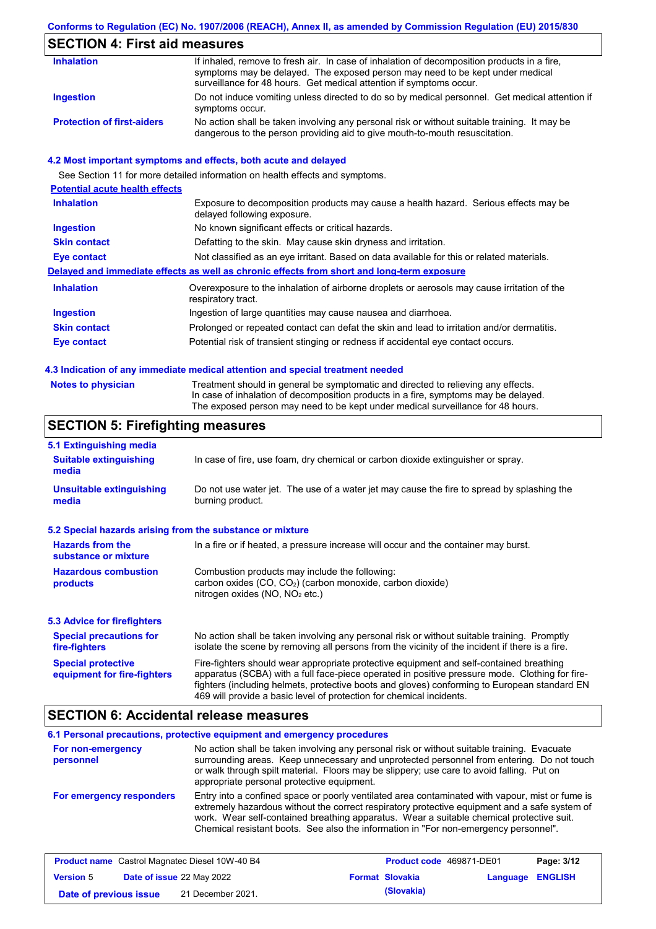#### **Conforms to Regulation (EC) No. 1907/2006 (REACH), Annex II, as amended by Commission Regulation (EU) 2015/830**

## **SECTION 4: First aid measures**

| <b>Inhalation</b>                 | If inhaled, remove to fresh air. In case of inhalation of decomposition products in a fire,<br>symptoms may be delayed. The exposed person may need to be kept under medical<br>surveillance for 48 hours. Get medical attention if symptoms occur. |
|-----------------------------------|-----------------------------------------------------------------------------------------------------------------------------------------------------------------------------------------------------------------------------------------------------|
| Ingestion                         | Do not induce vomiting unless directed to do so by medical personnel. Get medical attention if<br>symptoms occur.                                                                                                                                   |
| <b>Protection of first-aiders</b> | No action shall be taken involving any personal risk or without suitable training. It may be<br>dangerous to the person providing aid to give mouth-to-mouth resuscitation.                                                                         |

### **4.2 Most important symptoms and effects, both acute and delayed**

See Section 11 for more detailed information on health effects and symptoms. **Potential acute health effects Inhalation** Exposure to decomposition products may cause a health hazard. Serious effects may be delayed following exposure. **Ingestion** No known significant effects or critical hazards. **Skin contact** Defatting to the skin. May cause skin dryness and irritation. **Eye contact** Not classified as an eye irritant. Based on data available for this or related materials. **Delayed and immediate effects as well as chronic effects from short and long-term exposure Inhalation Ingestion Skin contact Eye contact** Overexposure to the inhalation of airborne droplets or aerosols may cause irritation of the respiratory tract. Ingestion of large quantities may cause nausea and diarrhoea. Prolonged or repeated contact can defat the skin and lead to irritation and/or dermatitis. Potential risk of transient stinging or redness if accidental eye contact occurs.

#### **4.3 Indication of any immediate medical attention and special treatment needed**

| <b>Notes to physician</b> | Treatment should in general be symptomatic and directed to relieving any effects.   |
|---------------------------|-------------------------------------------------------------------------------------|
|                           | In case of inhalation of decomposition products in a fire, symptoms may be delayed. |
|                           | The exposed person may need to be kept under medical surveillance for 48 hours.     |

## **SECTION 5: Firefighting measures**

| 5.1 Extinguishing media                                                                                                                                                                                                                                                                                                                                                                                                       |                                                                                     |  |  |
|-------------------------------------------------------------------------------------------------------------------------------------------------------------------------------------------------------------------------------------------------------------------------------------------------------------------------------------------------------------------------------------------------------------------------------|-------------------------------------------------------------------------------------|--|--|
| <b>Suitable extinguishing</b><br>media                                                                                                                                                                                                                                                                                                                                                                                        | In case of fire, use foam, dry chemical or carbon dioxide extinguisher or spray.    |  |  |
| <b>Unsuitable extinguishing</b><br>Do not use water jet. The use of a water jet may cause the fire to spread by splashing the<br>burning product.<br>media                                                                                                                                                                                                                                                                    |                                                                                     |  |  |
| 5.2 Special hazards arising from the substance or mixture                                                                                                                                                                                                                                                                                                                                                                     |                                                                                     |  |  |
| <b>Hazards from the</b><br>substance or mixture                                                                                                                                                                                                                                                                                                                                                                               | In a fire or if heated, a pressure increase will occur and the container may burst. |  |  |
| Combustion products may include the following:<br><b>Hazardous combustion</b><br>carbon oxides $(CO, CO2)$ (carbon monoxide, carbon dioxide)<br>products<br>nitrogen oxides ( $NO$ , $NO2$ etc.)                                                                                                                                                                                                                              |                                                                                     |  |  |
| 5.3 Advice for firefighters                                                                                                                                                                                                                                                                                                                                                                                                   |                                                                                     |  |  |
| No action shall be taken involving any personal risk or without suitable training. Promptly<br><b>Special precautions for</b><br>isolate the scene by removing all persons from the vicinity of the incident if there is a fire.<br>fire-fighters                                                                                                                                                                             |                                                                                     |  |  |
| Fire-fighters should wear appropriate protective equipment and self-contained breathing<br><b>Special protective</b><br>apparatus (SCBA) with a full face-piece operated in positive pressure mode. Clothing for fire-<br>equipment for fire-fighters<br>fighters (including helmets, protective boots and gloves) conforming to European standard EN<br>469 will provide a basic level of protection for chemical incidents. |                                                                                     |  |  |

### **SECTION 6: Accidental release measures**

|                                | 6.1 Personal precautions, protective equipment and emergency procedures                                                                                                                                                                                                                                                                                                              |
|--------------------------------|--------------------------------------------------------------------------------------------------------------------------------------------------------------------------------------------------------------------------------------------------------------------------------------------------------------------------------------------------------------------------------------|
| For non-emergency<br>personnel | No action shall be taken involving any personal risk or without suitable training. Evacuate<br>surrounding areas. Keep unnecessary and unprotected personnel from entering. Do not touch<br>or walk through spilt material. Floors may be slippery; use care to avoid falling. Put on<br>appropriate personal protective equipment.                                                  |
| For emergency responders       | Entry into a confined space or poorly ventilated area contaminated with vapour, mist or fume is<br>extremely hazardous without the correct respiratory protective equipment and a safe system of<br>work. Wear self-contained breathing apparatus. Wear a suitable chemical protective suit.<br>Chemical resistant boots. See also the information in "For non-emergency personnel". |

| <b>Product name</b> Castrol Magnatec Diesel 10W-40 B4 |  | Product code 469871-DE01         |  | Page: 3/12             |                         |  |
|-------------------------------------------------------|--|----------------------------------|--|------------------------|-------------------------|--|
| <b>Version 5</b>                                      |  | <b>Date of issue 22 May 2022</b> |  | <b>Format Slovakia</b> | <b>Language ENGLISH</b> |  |
| Date of previous issue                                |  | 21 December 2021.                |  | (Slovakia)             |                         |  |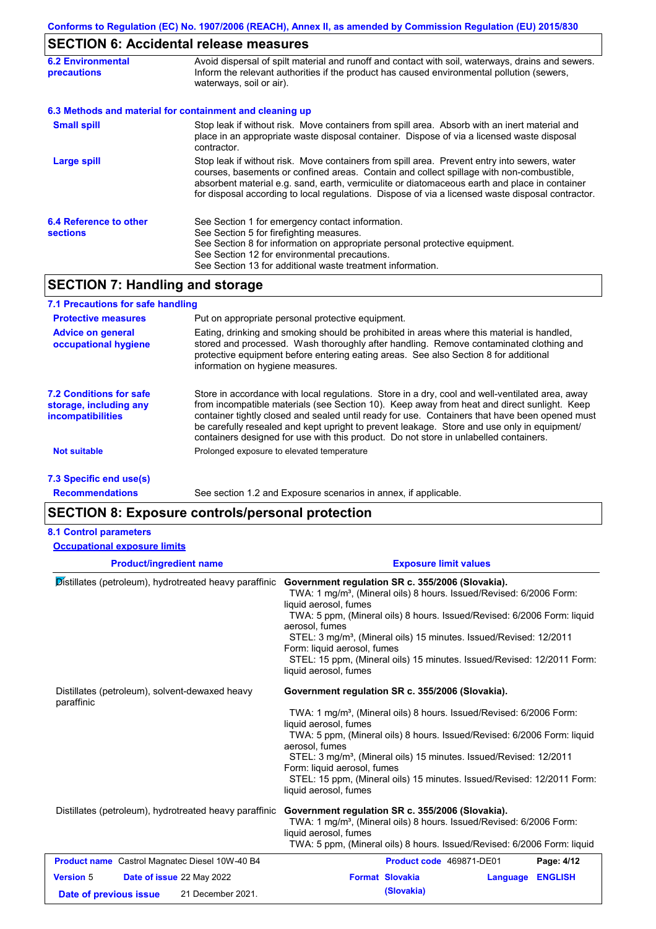# **SECTION 6: Accidental release measures**

| <b>6.2 Environmental</b><br><b>precautions</b> | Avoid dispersal of spilt material and runoff and contact with soil, waterways, drains and sewers.<br>Inform the relevant authorities if the product has caused environmental pollution (sewers,<br>waterways, soil or air).                                                                                                                                                                    |  |  |
|------------------------------------------------|------------------------------------------------------------------------------------------------------------------------------------------------------------------------------------------------------------------------------------------------------------------------------------------------------------------------------------------------------------------------------------------------|--|--|
|                                                | 6.3 Methods and material for containment and cleaning up                                                                                                                                                                                                                                                                                                                                       |  |  |
| <b>Small spill</b>                             | Stop leak if without risk. Move containers from spill area. Absorb with an inert material and<br>place in an appropriate waste disposal container. Dispose of via a licensed waste disposal<br>contractor.                                                                                                                                                                                     |  |  |
| <b>Large spill</b>                             | Stop leak if without risk. Move containers from spill area. Prevent entry into sewers, water<br>courses, basements or confined areas. Contain and collect spillage with non-combustible,<br>absorbent material e.g. sand, earth, vermiculite or diatomaceous earth and place in container<br>for disposal according to local regulations. Dispose of via a licensed waste disposal contractor. |  |  |
| 6.4 Reference to other<br><b>sections</b>      | See Section 1 for emergency contact information.<br>See Section 5 for firefighting measures.<br>See Section 8 for information on appropriate personal protective equipment.<br>See Section 12 for environmental precautions.<br>See Section 13 for additional waste treatment information.                                                                                                     |  |  |

# **SECTION 7: Handling and storage**

| 7.1 Precautions for safe handling                                                    |                                                                                                                                                                                                                                                                                                                                                                                                                                                                                          |
|--------------------------------------------------------------------------------------|------------------------------------------------------------------------------------------------------------------------------------------------------------------------------------------------------------------------------------------------------------------------------------------------------------------------------------------------------------------------------------------------------------------------------------------------------------------------------------------|
| <b>Protective measures</b>                                                           | Put on appropriate personal protective equipment.                                                                                                                                                                                                                                                                                                                                                                                                                                        |
| <b>Advice on general</b><br>occupational hygiene                                     | Eating, drinking and smoking should be prohibited in areas where this material is handled,<br>stored and processed. Wash thoroughly after handling. Remove contaminated clothing and<br>protective equipment before entering eating areas. See also Section 8 for additional<br>information on hygiene measures.                                                                                                                                                                         |
| <b>7.2 Conditions for safe</b><br>storage, including any<br><b>incompatibilities</b> | Store in accordance with local regulations. Store in a dry, cool and well-ventilated area, away<br>from incompatible materials (see Section 10). Keep away from heat and direct sunlight. Keep<br>container tightly closed and sealed until ready for use. Containers that have been opened must<br>be carefully resealed and kept upright to prevent leakage. Store and use only in equipment/<br>containers designed for use with this product. Do not store in unlabelled containers. |
| <b>Not suitable</b>                                                                  | Prolonged exposure to elevated temperature                                                                                                                                                                                                                                                                                                                                                                                                                                               |
| 7.3 Specific end use(s)                                                              |                                                                                                                                                                                                                                                                                                                                                                                                                                                                                          |
| <b>Recommendations</b>                                                               | See section 1.2 and Exposure scenarios in annex, if applicable.                                                                                                                                                                                                                                                                                                                                                                                                                          |

# **SECTION 8: Exposure controls/personal protection**

#### **8.1 Control parameters**

| <b>Occupational exposure limits</b>                                                          |                                                                                                                                                                                                                                                                                                                                                                                                                                                                               |
|----------------------------------------------------------------------------------------------|-------------------------------------------------------------------------------------------------------------------------------------------------------------------------------------------------------------------------------------------------------------------------------------------------------------------------------------------------------------------------------------------------------------------------------------------------------------------------------|
| <b>Product/ingredient name</b>                                                               | <b>Exposure limit values</b>                                                                                                                                                                                                                                                                                                                                                                                                                                                  |
| Distillates (petroleum), hydrotreated heavy paraffinic                                       | Government regulation SR c. 355/2006 (Slovakia).<br>TWA: 1 mg/m <sup>3</sup> , (Mineral oils) 8 hours. Issued/Revised: 6/2006 Form:<br>liquid aerosol, fumes<br>TWA: 5 ppm, (Mineral oils) 8 hours. Issued/Revised: 6/2006 Form: liquid<br>aerosol, fumes<br>STEL: 3 mg/m <sup>3</sup> , (Mineral oils) 15 minutes. Issued/Revised: 12/2011<br>Form: liquid aerosol, fumes<br>STEL: 15 ppm, (Mineral oils) 15 minutes. Issued/Revised: 12/2011 Form:<br>liquid aerosol, fumes |
| Distillates (petroleum), solvent-dewaxed heavy<br>paraffinic                                 | Government regulation SR c. 355/2006 (Slovakia).<br>TWA: 1 mg/m <sup>3</sup> , (Mineral oils) 8 hours. Issued/Revised: 6/2006 Form:<br>liquid aerosol, fumes<br>TWA: 5 ppm, (Mineral oils) 8 hours. Issued/Revised: 6/2006 Form: liquid<br>aerosol, fumes<br>STEL: 3 mg/m <sup>3</sup> , (Mineral oils) 15 minutes. Issued/Revised: 12/2011<br>Form: liquid aerosol, fumes<br>STEL: 15 ppm, (Mineral oils) 15 minutes. Issued/Revised: 12/2011 Form:<br>liquid aerosol, fumes |
| Distillates (petroleum), hydrotreated heavy paraffinic                                       | Government regulation SR c. 355/2006 (Slovakia).<br>TWA: 1 mg/m <sup>3</sup> , (Mineral oils) 8 hours. Issued/Revised: 6/2006 Form:<br>liquid aerosol, fumes<br>TWA: 5 ppm, (Mineral oils) 8 hours. Issued/Revised: 6/2006 Form: liquid                                                                                                                                                                                                                                       |
| <b>Product name</b> Castrol Magnatec Diesel 10W-40 B4                                        | Product code 469871-DE01<br>Page: 4/12                                                                                                                                                                                                                                                                                                                                                                                                                                        |
| <b>Version 5</b><br>Date of issue 22 May 2022<br>21 December 2021.<br>Date of previous issue | <b>Format Slovakia</b><br><b>ENGLISH</b><br>Language<br>(Slovakia)                                                                                                                                                                                                                                                                                                                                                                                                            |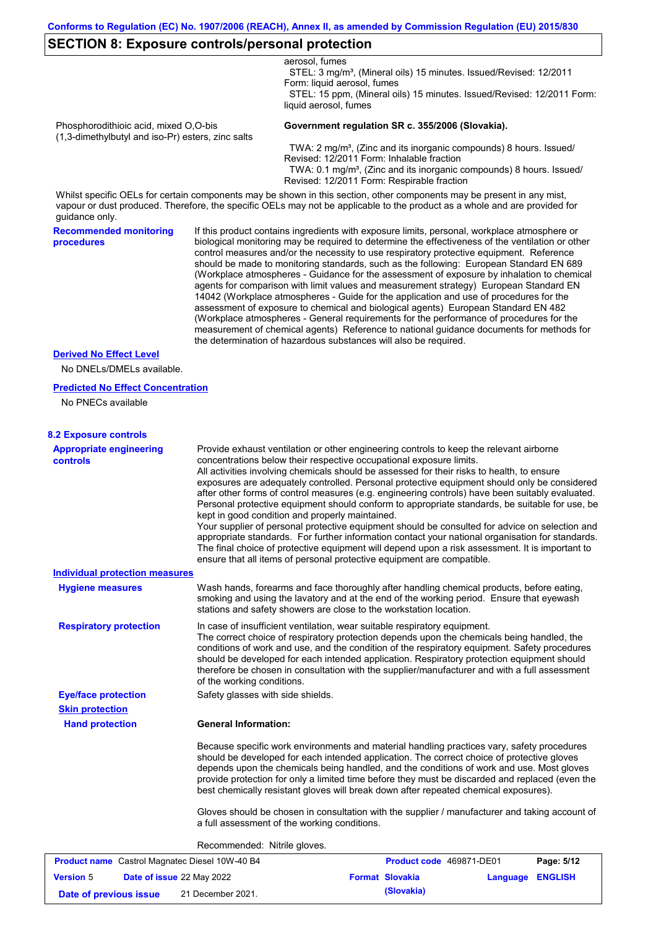### **SECTION 8: Exposure controls/personal protection**

|                                                                                            |                                   | aerosol, fumes<br>STEL: 3 mg/m <sup>3</sup> , (Mineral oils) 15 minutes. Issued/Revised: 12/2011                                                                                                                                                                                                                                                                                                                                                                                                                                                                                                                                                                                                                                                                                                                                                                                                                                                                                                                           |                          |            |
|--------------------------------------------------------------------------------------------|-----------------------------------|----------------------------------------------------------------------------------------------------------------------------------------------------------------------------------------------------------------------------------------------------------------------------------------------------------------------------------------------------------------------------------------------------------------------------------------------------------------------------------------------------------------------------------------------------------------------------------------------------------------------------------------------------------------------------------------------------------------------------------------------------------------------------------------------------------------------------------------------------------------------------------------------------------------------------------------------------------------------------------------------------------------------------|--------------------------|------------|
|                                                                                            |                                   | Form: liquid aerosol, fumes<br>STEL: 15 ppm, (Mineral oils) 15 minutes. Issued/Revised: 12/2011 Form:                                                                                                                                                                                                                                                                                                                                                                                                                                                                                                                                                                                                                                                                                                                                                                                                                                                                                                                      |                          |            |
|                                                                                            |                                   | liquid aerosol, fumes                                                                                                                                                                                                                                                                                                                                                                                                                                                                                                                                                                                                                                                                                                                                                                                                                                                                                                                                                                                                      |                          |            |
| Phosphorodithioic acid, mixed O,O-bis<br>(1,3-dimethylbutyl and iso-Pr) esters, zinc salts |                                   | Government regulation SR c. 355/2006 (Slovakia).                                                                                                                                                                                                                                                                                                                                                                                                                                                                                                                                                                                                                                                                                                                                                                                                                                                                                                                                                                           |                          |            |
|                                                                                            |                                   | TWA: 2 mg/m <sup>3</sup> , (Zinc and its inorganic compounds) 8 hours. Issued/<br>Revised: 12/2011 Form: Inhalable fraction<br>TWA: 0.1 mg/m <sup>3</sup> , (Zinc and its inorganic compounds) 8 hours. Issued/<br>Revised: 12/2011 Form: Respirable fraction                                                                                                                                                                                                                                                                                                                                                                                                                                                                                                                                                                                                                                                                                                                                                              |                          |            |
| guidance only.                                                                             |                                   | Whilst specific OELs for certain components may be shown in this section, other components may be present in any mist,<br>vapour or dust produced. Therefore, the specific OELs may not be applicable to the product as a whole and are provided for                                                                                                                                                                                                                                                                                                                                                                                                                                                                                                                                                                                                                                                                                                                                                                       |                          |            |
| <b>Recommended monitoring</b><br>procedures                                                |                                   | If this product contains ingredients with exposure limits, personal, workplace atmosphere or<br>biological monitoring may be required to determine the effectiveness of the ventilation or other<br>control measures and/or the necessity to use respiratory protective equipment. Reference<br>should be made to monitoring standards, such as the following: European Standard EN 689<br>(Workplace atmospheres - Guidance for the assessment of exposure by inhalation to chemical<br>agents for comparison with limit values and measurement strategy) European Standard EN<br>14042 (Workplace atmospheres - Guide for the application and use of procedures for the<br>assessment of exposure to chemical and biological agents) European Standard EN 482<br>(Workplace atmospheres - General requirements for the performance of procedures for the<br>measurement of chemical agents) Reference to national guidance documents for methods for<br>the determination of hazardous substances will also be required. |                          |            |
| <b>Derived No Effect Level</b>                                                             |                                   |                                                                                                                                                                                                                                                                                                                                                                                                                                                                                                                                                                                                                                                                                                                                                                                                                                                                                                                                                                                                                            |                          |            |
| No DNELs/DMELs available.                                                                  |                                   |                                                                                                                                                                                                                                                                                                                                                                                                                                                                                                                                                                                                                                                                                                                                                                                                                                                                                                                                                                                                                            |                          |            |
| <b>Predicted No Effect Concentration</b><br>No PNECs available                             |                                   |                                                                                                                                                                                                                                                                                                                                                                                                                                                                                                                                                                                                                                                                                                                                                                                                                                                                                                                                                                                                                            |                          |            |
| <b>8.2 Exposure controls</b>                                                               |                                   |                                                                                                                                                                                                                                                                                                                                                                                                                                                                                                                                                                                                                                                                                                                                                                                                                                                                                                                                                                                                                            |                          |            |
| <b>Appropriate engineering</b><br><b>controls</b>                                          |                                   | Provide exhaust ventilation or other engineering controls to keep the relevant airborne<br>concentrations below their respective occupational exposure limits.<br>All activities involving chemicals should be assessed for their risks to health, to ensure<br>exposures are adequately controlled. Personal protective equipment should only be considered<br>after other forms of control measures (e.g. engineering controls) have been suitably evaluated.<br>Personal protective equipment should conform to appropriate standards, be suitable for use, be<br>kept in good condition and properly maintained.<br>Your supplier of personal protective equipment should be consulted for advice on selection and<br>appropriate standards. For further information contact your national organisation for standards.<br>The final choice of protective equipment will depend upon a risk assessment. It is important to<br>ensure that all items of personal protective equipment are compatible.                    |                          |            |
| <b>Individual protection measures</b>                                                      |                                   |                                                                                                                                                                                                                                                                                                                                                                                                                                                                                                                                                                                                                                                                                                                                                                                                                                                                                                                                                                                                                            |                          |            |
| <b>Hygiene measures</b>                                                                    |                                   | Wash hands, forearms and face thoroughly after handling chemical products, before eating,<br>smoking and using the lavatory and at the end of the working period. Ensure that eyewash<br>stations and safety showers are close to the workstation location.                                                                                                                                                                                                                                                                                                                                                                                                                                                                                                                                                                                                                                                                                                                                                                |                          |            |
| <b>Respiratory protection</b>                                                              | of the working conditions.        | In case of insufficient ventilation, wear suitable respiratory equipment.<br>The correct choice of respiratory protection depends upon the chemicals being handled, the<br>conditions of work and use, and the condition of the respiratory equipment. Safety procedures<br>should be developed for each intended application. Respiratory protection equipment should<br>therefore be chosen in consultation with the supplier/manufacturer and with a full assessment                                                                                                                                                                                                                                                                                                                                                                                                                                                                                                                                                    |                          |            |
| <b>Eye/face protection</b>                                                                 | Safety glasses with side shields. |                                                                                                                                                                                                                                                                                                                                                                                                                                                                                                                                                                                                                                                                                                                                                                                                                                                                                                                                                                                                                            |                          |            |
| <b>Skin protection</b>                                                                     |                                   |                                                                                                                                                                                                                                                                                                                                                                                                                                                                                                                                                                                                                                                                                                                                                                                                                                                                                                                                                                                                                            |                          |            |
| <b>Hand protection</b>                                                                     | <b>General Information:</b>       |                                                                                                                                                                                                                                                                                                                                                                                                                                                                                                                                                                                                                                                                                                                                                                                                                                                                                                                                                                                                                            |                          |            |
|                                                                                            |                                   | Because specific work environments and material handling practices vary, safety procedures<br>should be developed for each intended application. The correct choice of protective gloves<br>depends upon the chemicals being handled, and the conditions of work and use. Most gloves<br>provide protection for only a limited time before they must be discarded and replaced (even the<br>best chemically resistant gloves will break down after repeated chemical exposures).                                                                                                                                                                                                                                                                                                                                                                                                                                                                                                                                           |                          |            |
|                                                                                            |                                   | Gloves should be chosen in consultation with the supplier / manufacturer and taking account of<br>a full assessment of the working conditions.                                                                                                                                                                                                                                                                                                                                                                                                                                                                                                                                                                                                                                                                                                                                                                                                                                                                             |                          |            |
|                                                                                            | Recommended: Nitrile gloves.      |                                                                                                                                                                                                                                                                                                                                                                                                                                                                                                                                                                                                                                                                                                                                                                                                                                                                                                                                                                                                                            |                          |            |
| <b>Product name</b> Castrol Magnatec Diesel 10W-40 B4                                      |                                   |                                                                                                                                                                                                                                                                                                                                                                                                                                                                                                                                                                                                                                                                                                                                                                                                                                                                                                                                                                                                                            | Product code 469871-DE01 | Page: 5/12 |

| <b>Product name</b> Castrol Magnatec Diesel 10W-40 B4 |  | <b>Product code</b> 469871-DE01 |                  | Page: 5/12 |  |
|-------------------------------------------------------|--|---------------------------------|------------------|------------|--|
| <b>Date of issue 22 May 2022</b><br><b>Version 5</b>  |  | <b>Format Slovakia</b>          | Language ENGLISH |            |  |
| Date of previous issue                                |  | 21 December 2021.               | (Slovakia)       |            |  |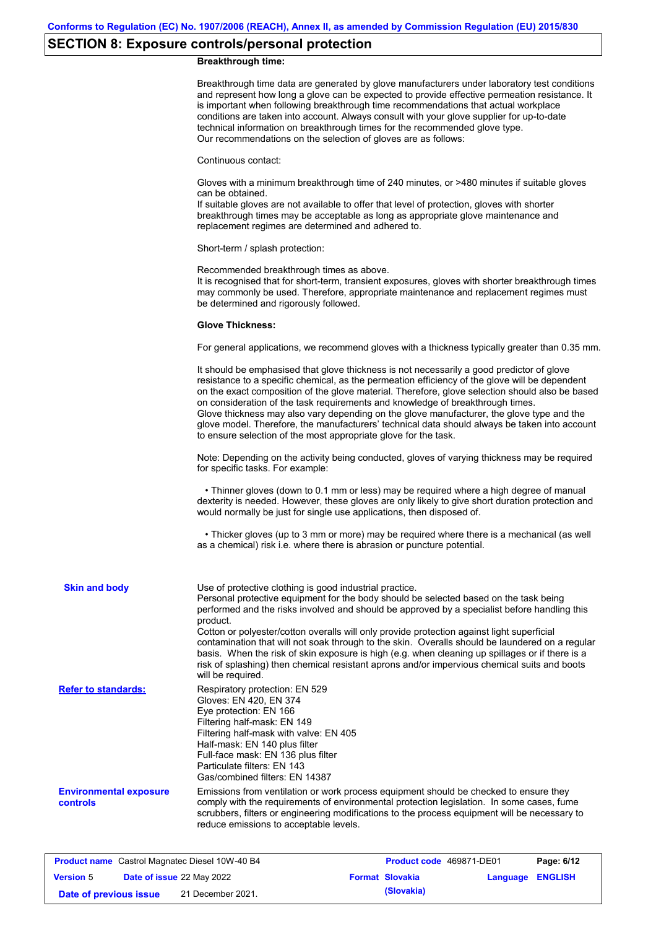# **SECTION 8: Exposure controls/personal protection**

### **Breakthrough time:**

|                                                  | Breakthrough time data are generated by glove manufacturers under laboratory test conditions<br>and represent how long a glove can be expected to provide effective permeation resistance. It<br>is important when following breakthrough time recommendations that actual workplace<br>conditions are taken into account. Always consult with your glove supplier for up-to-date<br>technical information on breakthrough times for the recommended glove type.<br>Our recommendations on the selection of gloves are as follows:                                                                                                                |
|--------------------------------------------------|---------------------------------------------------------------------------------------------------------------------------------------------------------------------------------------------------------------------------------------------------------------------------------------------------------------------------------------------------------------------------------------------------------------------------------------------------------------------------------------------------------------------------------------------------------------------------------------------------------------------------------------------------|
|                                                  | Continuous contact:                                                                                                                                                                                                                                                                                                                                                                                                                                                                                                                                                                                                                               |
|                                                  | Gloves with a minimum breakthrough time of 240 minutes, or >480 minutes if suitable gloves<br>can be obtained.<br>If suitable gloves are not available to offer that level of protection, gloves with shorter<br>breakthrough times may be acceptable as long as appropriate glove maintenance and<br>replacement regimes are determined and adhered to.                                                                                                                                                                                                                                                                                          |
|                                                  | Short-term / splash protection:                                                                                                                                                                                                                                                                                                                                                                                                                                                                                                                                                                                                                   |
|                                                  | Recommended breakthrough times as above.<br>It is recognised that for short-term, transient exposures, gloves with shorter breakthrough times<br>may commonly be used. Therefore, appropriate maintenance and replacement regimes must<br>be determined and rigorously followed.                                                                                                                                                                                                                                                                                                                                                                  |
|                                                  | <b>Glove Thickness:</b>                                                                                                                                                                                                                                                                                                                                                                                                                                                                                                                                                                                                                           |
|                                                  | For general applications, we recommend gloves with a thickness typically greater than 0.35 mm.                                                                                                                                                                                                                                                                                                                                                                                                                                                                                                                                                    |
|                                                  | It should be emphasised that glove thickness is not necessarily a good predictor of glove<br>resistance to a specific chemical, as the permeation efficiency of the glove will be dependent<br>on the exact composition of the glove material. Therefore, glove selection should also be based<br>on consideration of the task requirements and knowledge of breakthrough times.<br>Glove thickness may also vary depending on the glove manufacturer, the glove type and the<br>glove model. Therefore, the manufacturers' technical data should always be taken into account<br>to ensure selection of the most appropriate glove for the task. |
|                                                  | Note: Depending on the activity being conducted, gloves of varying thickness may be required<br>for specific tasks. For example:                                                                                                                                                                                                                                                                                                                                                                                                                                                                                                                  |
|                                                  | • Thinner gloves (down to 0.1 mm or less) may be required where a high degree of manual<br>dexterity is needed. However, these gloves are only likely to give short duration protection and<br>would normally be just for single use applications, then disposed of.                                                                                                                                                                                                                                                                                                                                                                              |
|                                                  | • Thicker gloves (up to 3 mm or more) may be required where there is a mechanical (as well<br>as a chemical) risk i.e. where there is abrasion or puncture potential.                                                                                                                                                                                                                                                                                                                                                                                                                                                                             |
| <b>Skin and body</b>                             | Use of protective clothing is good industrial practice.<br>Personal protective equipment for the body should be selected based on the task being<br>performed and the risks involved and should be approved by a specialist before handling this<br>product.                                                                                                                                                                                                                                                                                                                                                                                      |
|                                                  | Cotton or polyester/cotton overalls will only provide protection against light superficial<br>contamination that will not soak through to the skin. Overalls should be laundered on a regular<br>basis. When the risk of skin exposure is high (e.g. when cleaning up spillages or if there is a<br>risk of splashing) then chemical resistant aprons and/or impervious chemical suits and boots<br>will be required.                                                                                                                                                                                                                             |
| <b>Refer to standards:</b>                       | Respiratory protection: EN 529<br>Gloves: EN 420, EN 374<br>Eye protection: EN 166<br>Filtering half-mask: EN 149<br>Filtering half-mask with valve: EN 405<br>Half-mask: EN 140 plus filter<br>Full-face mask: EN 136 plus filter<br>Particulate filters: EN 143<br>Gas/combined filters: EN 14387                                                                                                                                                                                                                                                                                                                                               |
| <b>Environmental exposure</b><br><b>controls</b> | Emissions from ventilation or work process equipment should be checked to ensure they<br>comply with the requirements of environmental protection legislation. In some cases, fume<br>scrubbers, filters or engineering modifications to the process equipment will be necessary to<br>reduce emissions to acceptable levels.                                                                                                                                                                                                                                                                                                                     |

| <b>Product name</b> Castrol Magnatec Diesel 10W-40 B4 |  |                   | <b>Product code</b> 469871-DE01 |                         | Page: 6/12 |  |
|-------------------------------------------------------|--|-------------------|---------------------------------|-------------------------|------------|--|
| Date of issue 22 May 2022<br><b>Version 5</b>         |  |                   | <b>Format Slovakia</b>          | <b>Language ENGLISH</b> |            |  |
| Date of previous issue                                |  | 21 December 2021. |                                 | (Slovakia)              |            |  |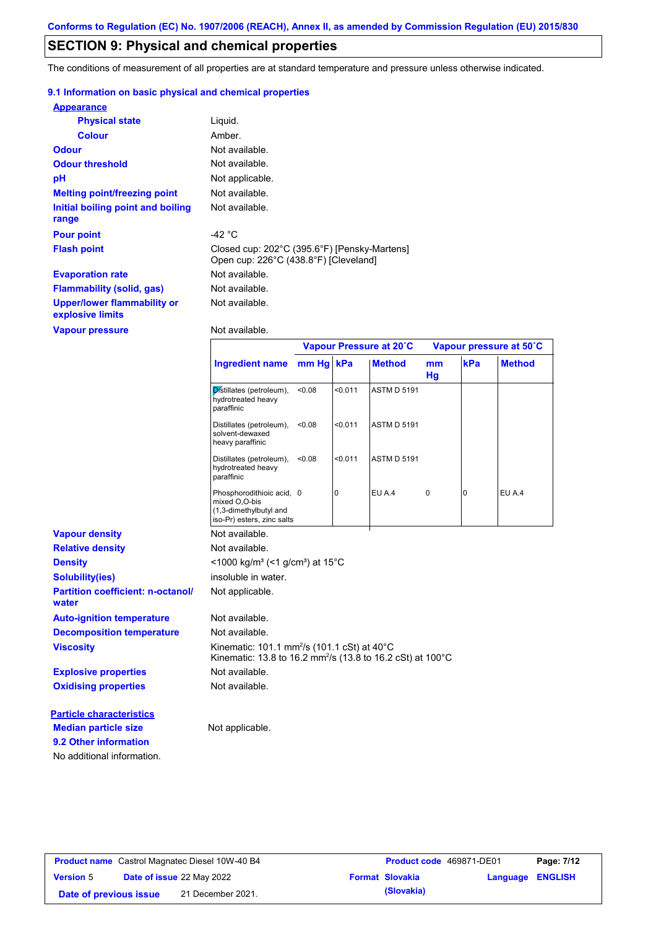# **SECTION 9: Physical and chemical properties**

The conditions of measurement of all properties are at standard temperature and pressure unless otherwise indicated.

### **9.1 Information on basic physical and chemical properties**

| <b>Appearance</b>                                      |                                                                                       |
|--------------------------------------------------------|---------------------------------------------------------------------------------------|
| <b>Physical state</b>                                  | Liguid.                                                                               |
| <b>Colour</b>                                          | Amber.                                                                                |
| <b>Odour</b>                                           | Not available.                                                                        |
| <b>Odour threshold</b>                                 | Not available.                                                                        |
| рH                                                     | Not applicable.                                                                       |
| <b>Melting point/freezing point</b>                    | Not available.                                                                        |
| Initial boiling point and boiling<br>range             | Not available.                                                                        |
| <b>Pour point</b>                                      | -42 $^{\circ}$ C                                                                      |
| <b>Flash point</b>                                     | Closed cup: 202°C (395.6°F) [Pensky-Martens]<br>Open cup: 226°C (438.8°F) [Cleveland] |
| <b>Evaporation rate</b>                                | Not available.                                                                        |
| <b>Flammability (solid, gas)</b>                       | Not available.                                                                        |
| <b>Upper/lower flammability or</b><br>explosive limits | Not available.                                                                        |
| <b>Vapour pressure</b>                                 | Not available.                                                                        |

|                                                   | Ingredient name mm Hg                                                                                                             |        | kPa     | <b>Method</b>      | mm<br>Hg | kPa      | <b>Method</b> |
|---------------------------------------------------|-----------------------------------------------------------------------------------------------------------------------------------|--------|---------|--------------------|----------|----------|---------------|
|                                                   | Distillates (petroleum),<br>hydrotreated heavy<br>paraffinic                                                                      | < 0.08 | < 0.011 | <b>ASTM D 5191</b> |          |          |               |
|                                                   | Distillates (petroleum),<br>solvent-dewaxed<br>heavy paraffinic                                                                   | < 0.08 | < 0.011 | <b>ASTM D 5191</b> |          |          |               |
|                                                   | Distillates (petroleum),<br>hydrotreated heavy<br>paraffinic                                                                      | < 0.08 | < 0.011 | <b>ASTM D 5191</b> |          |          |               |
|                                                   | Phosphorodithioic acid, 0<br>mixed O,O-bis<br>(1,3-dimethylbutyl and<br>iso-Pr) esters, zinc salts                                |        | 0       | EU A.4             | 0        | $\Omega$ | <b>EU A.4</b> |
| <b>Vapour density</b>                             | Not available.                                                                                                                    |        |         |                    |          |          |               |
| <b>Relative density</b>                           | Not available.                                                                                                                    |        |         |                    |          |          |               |
| <b>Density</b>                                    | <1000 kg/m <sup>3</sup> (<1 g/cm <sup>3</sup> ) at 15°C                                                                           |        |         |                    |          |          |               |
| <b>Solubility(ies)</b>                            | insoluble in water.                                                                                                               |        |         |                    |          |          |               |
| <b>Partition coefficient: n-octanol/</b><br>water | Not applicable.                                                                                                                   |        |         |                    |          |          |               |
| <b>Auto-ignition temperature</b>                  | Not available.                                                                                                                    |        |         |                    |          |          |               |
| <b>Decomposition temperature</b>                  | Not available.                                                                                                                    |        |         |                    |          |          |               |
| <b>Viscosity</b>                                  | Kinematic: 101.1 mm <sup>2</sup> /s (101.1 cSt) at 40°C<br>Kinematic: 13.8 to 16.2 mm <sup>2</sup> /s (13.8 to 16.2 cSt) at 100°C |        |         |                    |          |          |               |
| <b>Explosive properties</b>                       | Not available.                                                                                                                    |        |         |                    |          |          |               |
| <b>Oxidising properties</b>                       | Not available.                                                                                                                    |        |         |                    |          |          |               |
| <b>Particle characteristics</b>                   |                                                                                                                                   |        |         |                    |          |          |               |
| <b>Median particle size</b>                       | Not applicable.                                                                                                                   |        |         |                    |          |          |               |
| 9.2 Other information                             |                                                                                                                                   |        |         |                    |          |          |               |
| No additional information.                        |                                                                                                                                   |        |         |                    |          |          |               |

**Vapour Pressure at 20˚C Vapour pressure at 50˚C**

| <b>Product name</b> Castrol Magnatec Diesel 10W-40 B4 |  |                                  | Product code 469871-DE01 |                        | Page: 7/12              |  |
|-------------------------------------------------------|--|----------------------------------|--------------------------|------------------------|-------------------------|--|
| <b>Version 5</b>                                      |  | <b>Date of issue 22 May 2022</b> |                          | <b>Format Slovakia</b> | <b>Language ENGLISH</b> |  |
| Date of previous issue                                |  | 21 December 2021.                |                          | (Slovakia)             |                         |  |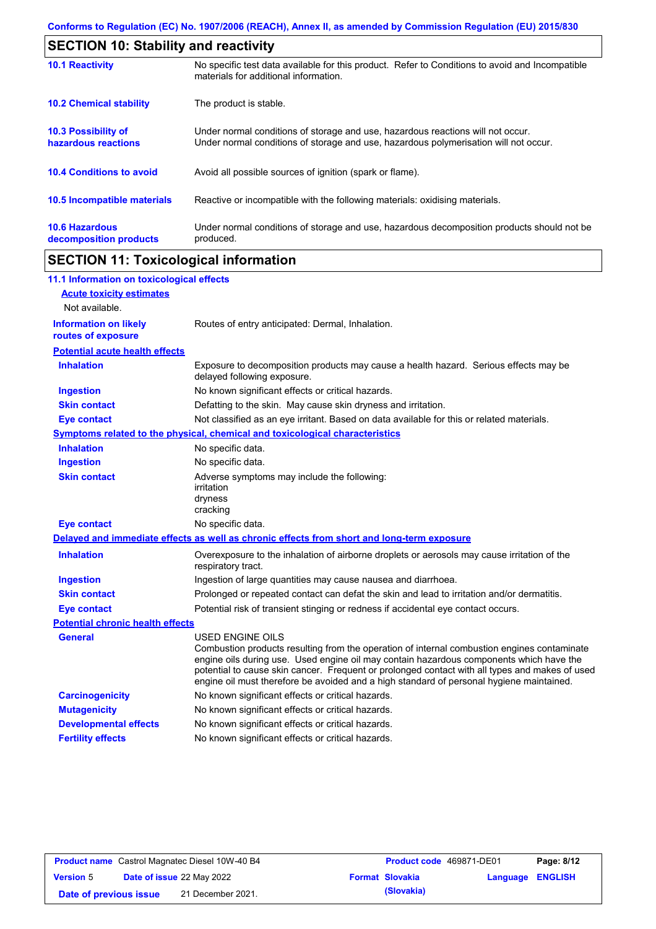| <b>SECTION 10: Stability and reactivity</b>     |                                                                                                                                                                         |
|-------------------------------------------------|-------------------------------------------------------------------------------------------------------------------------------------------------------------------------|
| <b>10.1 Reactivity</b>                          | No specific test data available for this product. Refer to Conditions to avoid and Incompatible<br>materials for additional information.                                |
| <b>10.2 Chemical stability</b>                  | The product is stable.                                                                                                                                                  |
| 10.3 Possibility of<br>hazardous reactions      | Under normal conditions of storage and use, hazardous reactions will not occur.<br>Under normal conditions of storage and use, hazardous polymerisation will not occur. |
| <b>10.4 Conditions to avoid</b>                 | Avoid all possible sources of ignition (spark or flame).                                                                                                                |
| <b>10.5 Incompatible materials</b>              | Reactive or incompatible with the following materials: oxidising materials.                                                                                             |
| <b>10.6 Hazardous</b><br>decomposition products | Under normal conditions of storage and use, hazardous decomposition products should not be<br>produced.                                                                 |

# **SECTION 11: Toxicological information**

 $\mathbf{r}$ 

| 11.1 Information on toxicological effects          |                                                                                                                                                                                                                                                                                                                                                                                                                 |
|----------------------------------------------------|-----------------------------------------------------------------------------------------------------------------------------------------------------------------------------------------------------------------------------------------------------------------------------------------------------------------------------------------------------------------------------------------------------------------|
| <b>Acute toxicity estimates</b>                    |                                                                                                                                                                                                                                                                                                                                                                                                                 |
| Not available.                                     |                                                                                                                                                                                                                                                                                                                                                                                                                 |
| <b>Information on likely</b><br>routes of exposure | Routes of entry anticipated: Dermal, Inhalation.                                                                                                                                                                                                                                                                                                                                                                |
| <b>Potential acute health effects</b>              |                                                                                                                                                                                                                                                                                                                                                                                                                 |
| <b>Inhalation</b>                                  | Exposure to decomposition products may cause a health hazard. Serious effects may be<br>delayed following exposure.                                                                                                                                                                                                                                                                                             |
| <b>Ingestion</b>                                   | No known significant effects or critical hazards.                                                                                                                                                                                                                                                                                                                                                               |
| <b>Skin contact</b>                                | Defatting to the skin. May cause skin dryness and irritation.                                                                                                                                                                                                                                                                                                                                                   |
| <b>Eye contact</b>                                 | Not classified as an eye irritant. Based on data available for this or related materials.                                                                                                                                                                                                                                                                                                                       |
|                                                    | <b>Symptoms related to the physical, chemical and toxicological characteristics</b>                                                                                                                                                                                                                                                                                                                             |
| <b>Inhalation</b>                                  | No specific data.                                                                                                                                                                                                                                                                                                                                                                                               |
| <b>Ingestion</b>                                   | No specific data.                                                                                                                                                                                                                                                                                                                                                                                               |
| <b>Skin contact</b>                                | Adverse symptoms may include the following:<br>irritation<br>dryness<br>cracking                                                                                                                                                                                                                                                                                                                                |
| <b>Eye contact</b>                                 | No specific data.                                                                                                                                                                                                                                                                                                                                                                                               |
|                                                    | Delayed and immediate effects as well as chronic effects from short and long-term exposure                                                                                                                                                                                                                                                                                                                      |
| <b>Inhalation</b>                                  | Overexposure to the inhalation of airborne droplets or aerosols may cause irritation of the<br>respiratory tract.                                                                                                                                                                                                                                                                                               |
| <b>Ingestion</b>                                   | Ingestion of large quantities may cause nausea and diarrhoea.                                                                                                                                                                                                                                                                                                                                                   |
| <b>Skin contact</b>                                | Prolonged or repeated contact can defat the skin and lead to irritation and/or dermatitis.                                                                                                                                                                                                                                                                                                                      |
| <b>Eye contact</b>                                 | Potential risk of transient stinging or redness if accidental eye contact occurs.                                                                                                                                                                                                                                                                                                                               |
| <b>Potential chronic health effects</b>            |                                                                                                                                                                                                                                                                                                                                                                                                                 |
| <b>General</b>                                     | <b>USED ENGINE OILS</b><br>Combustion products resulting from the operation of internal combustion engines contaminate<br>engine oils during use. Used engine oil may contain hazardous components which have the<br>potential to cause skin cancer. Frequent or prolonged contact with all types and makes of used<br>engine oil must therefore be avoided and a high standard of personal hygiene maintained. |
| <b>Carcinogenicity</b>                             | No known significant effects or critical hazards.                                                                                                                                                                                                                                                                                                                                                               |
| <b>Mutagenicity</b>                                | No known significant effects or critical hazards.                                                                                                                                                                                                                                                                                                                                                               |
| <b>Developmental effects</b>                       | No known significant effects or critical hazards.                                                                                                                                                                                                                                                                                                                                                               |
| <b>Fertility effects</b>                           | No known significant effects or critical hazards.                                                                                                                                                                                                                                                                                                                                                               |
|                                                    |                                                                                                                                                                                                                                                                                                                                                                                                                 |

| <b>Product name</b> Castrol Magnatec Diesel 10W-40 B4 |                                  |                   | <b>Product code</b> 469871-DE01 |                         | Page: 8/12 |  |
|-------------------------------------------------------|----------------------------------|-------------------|---------------------------------|-------------------------|------------|--|
| <b>Version 5</b>                                      | <b>Date of issue 22 May 2022</b> |                   | <b>Format Slovakia</b>          | <b>Language ENGLISH</b> |            |  |
| Date of previous issue                                |                                  | 21 December 2021. |                                 | (Slovakia)              |            |  |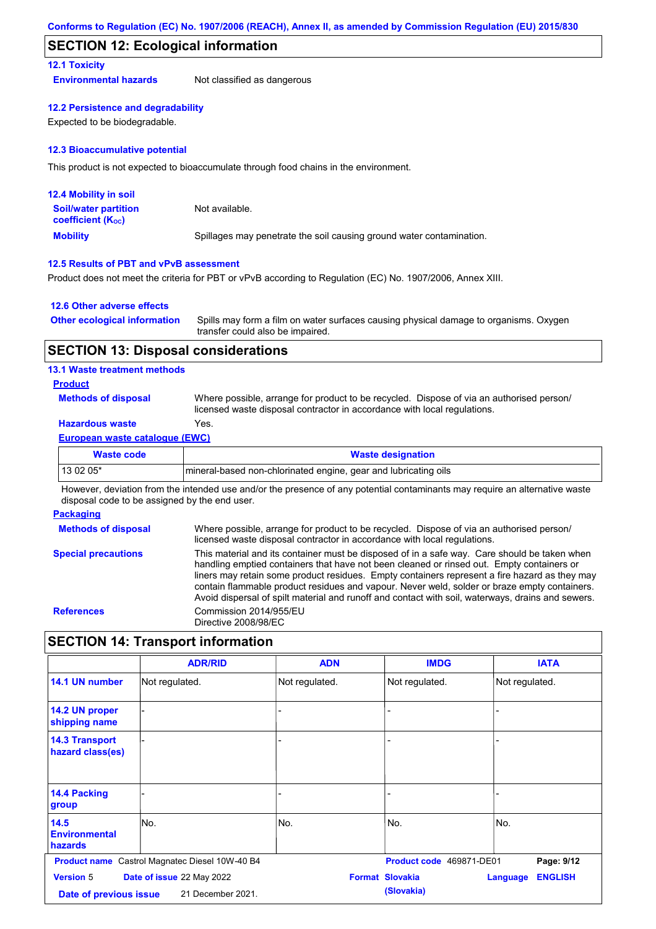### **SECTION 12: Ecological information**

### **12.1 Toxicity**

**Environmental hazards** Not classified as dangerous

#### **12.2 Persistence and degradability**

Expected to be biodegradable.

#### **12.3 Bioaccumulative potential**

This product is not expected to bioaccumulate through food chains in the environment.

| <b>12.4 Mobility in soil</b>                                  |                                                                      |
|---------------------------------------------------------------|----------------------------------------------------------------------|
| <b>Soil/water partition</b><br>coefficient (K <sub>oc</sub> ) | Not available.                                                       |
| <b>Mobility</b>                                               | Spillages may penetrate the soil causing ground water contamination. |

### **12.5 Results of PBT and vPvB assessment**

Product does not meet the criteria for PBT or vPvB according to Regulation (EC) No. 1907/2006, Annex XIII.

#### **12.6 Other adverse effects**

| <b>Other ecological information</b> | Spills may form a film on water surfaces causing physical damage to organisms. Oxygen |
|-------------------------------------|---------------------------------------------------------------------------------------|
|                                     | transfer could also be impaired.                                                      |

### **SECTION 13: Disposal considerations**

#### **13.1 Waste treatment methods**

#### **Product**

**Methods of disposal**

Where possible, arrange for product to be recycled. Dispose of via an authorised person/ licensed waste disposal contractor in accordance with local regulations.

### **Hazardous waste** Yes.

#### **European waste catalogue (EWC)**

| Waste code | <b>Waste designation</b>                                        |
|------------|-----------------------------------------------------------------|
| 13 02 05*  | mineral-based non-chlorinated engine, gear and lubricating oils |

However, deviation from the intended use and/or the presence of any potential contaminants may require an alternative waste disposal code to be assigned by the end user.

### **Packaging**

| <b>Methods of disposal</b> | Where possible, arrange for product to be recycled. Dispose of via an authorised person/<br>licensed waste disposal contractor in accordance with local regulations.                                                                                                                                                                                                                                                                                                                            |
|----------------------------|-------------------------------------------------------------------------------------------------------------------------------------------------------------------------------------------------------------------------------------------------------------------------------------------------------------------------------------------------------------------------------------------------------------------------------------------------------------------------------------------------|
| <b>Special precautions</b> | This material and its container must be disposed of in a safe way. Care should be taken when<br>handling emptied containers that have not been cleaned or rinsed out. Empty containers or<br>liners may retain some product residues. Empty containers represent a fire hazard as they may<br>contain flammable product residues and vapour. Never weld, solder or braze empty containers.<br>Avoid dispersal of spilt material and runoff and contact with soil, waterways, drains and sewers. |
| <b>References</b>          | Commission 2014/955/EU<br>Directive 2008/98/EC                                                                                                                                                                                                                                                                                                                                                                                                                                                  |

# **SECTION 14: Transport information**

|                                            | <b>ADR/RID</b>                                        | <b>ADN</b>     | <b>IMDG</b>                          | <b>IATA</b>                |
|--------------------------------------------|-------------------------------------------------------|----------------|--------------------------------------|----------------------------|
| 14.1 UN number                             | Not regulated.                                        | Not regulated. | Not regulated.                       | Not regulated.             |
| 14.2 UN proper<br>shipping name            |                                                       |                |                                      |                            |
| <b>14.3 Transport</b><br>hazard class(es)  |                                                       |                |                                      |                            |
| <b>14.4 Packing</b><br>group               |                                                       |                |                                      |                            |
| 14.5<br><b>Environmental</b><br>hazards    | No.                                                   | No.            | No.                                  | No.                        |
|                                            | <b>Product name</b> Castrol Magnatec Diesel 10W-40 B4 |                | Product code 469871-DE01             | Page: 9/12                 |
| <b>Version 5</b><br>Date of previous issue | Date of issue 22 May 2022<br>21 December 2021.        |                | <b>Format Slovakia</b><br>(Slovakia) | <b>ENGLISH</b><br>Language |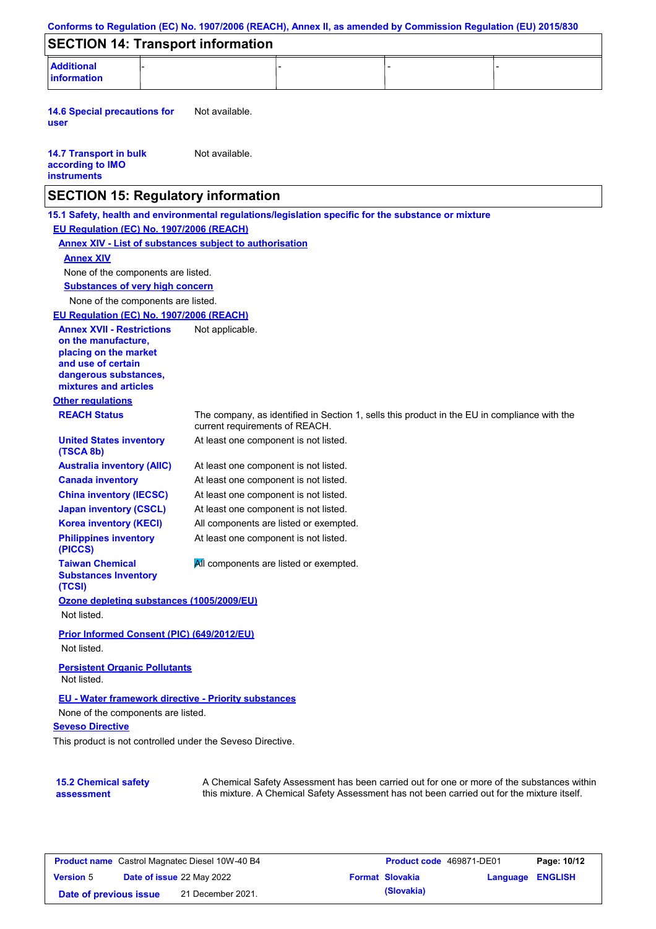|                                                                                                                                                                                                                                                                                      | Conforms to Regulation (EC) No. 1907/2006 (REACH), Annex II, as amended by Commission Regulation (EU) 2015/830                                                                            |
|--------------------------------------------------------------------------------------------------------------------------------------------------------------------------------------------------------------------------------------------------------------------------------------|-------------------------------------------------------------------------------------------------------------------------------------------------------------------------------------------|
| <b>SECTION 14: Transport information</b>                                                                                                                                                                                                                                             |                                                                                                                                                                                           |
| <b>Additional</b><br><b>information</b>                                                                                                                                                                                                                                              |                                                                                                                                                                                           |
| <b>14.6 Special precautions for</b><br>user                                                                                                                                                                                                                                          | Not available.                                                                                                                                                                            |
| <b>14.7 Transport in bulk</b><br>according to IMO<br><b>instruments</b>                                                                                                                                                                                                              | Not available.                                                                                                                                                                            |
| <b>SECTION 15: Regulatory information</b>                                                                                                                                                                                                                                            |                                                                                                                                                                                           |
| EU Regulation (EC) No. 1907/2006 (REACH)<br><b>Annex XIV</b>                                                                                                                                                                                                                         | 15.1 Safety, health and environmental regulations/legislation specific for the substance or mixture<br><b>Annex XIV - List of substances subject to authorisation</b>                     |
| None of the components are listed.                                                                                                                                                                                                                                                   |                                                                                                                                                                                           |
| <b>Substances of very high concern</b><br>None of the components are listed.<br>EU Regulation (EC) No. 1907/2006 (REACH)<br><b>Annex XVII - Restrictions</b><br>on the manufacture,<br>placing on the market<br>and use of certain<br>dangerous substances,<br>mixtures and articles | Not applicable.                                                                                                                                                                           |
| <b>Other regulations</b>                                                                                                                                                                                                                                                             |                                                                                                                                                                                           |
| <b>REACH Status</b>                                                                                                                                                                                                                                                                  | The company, as identified in Section 1, sells this product in the EU in compliance with the<br>current requirements of REACH.                                                            |
| <b>United States inventory</b><br>(TSCA 8b)                                                                                                                                                                                                                                          | At least one component is not listed.                                                                                                                                                     |
| <b>Australia inventory (AIIC)</b>                                                                                                                                                                                                                                                    | At least one component is not listed.                                                                                                                                                     |
| <b>Canada inventory</b>                                                                                                                                                                                                                                                              | At least one component is not listed.                                                                                                                                                     |
| <b>China inventory (IECSC)</b>                                                                                                                                                                                                                                                       | At least one component is not listed.                                                                                                                                                     |
| <b>Japan inventory (CSCL)</b>                                                                                                                                                                                                                                                        | At least one component is not listed.                                                                                                                                                     |
| <b>Korea inventory (KECI)</b><br><b>Philippines inventory</b><br>(PICCS)                                                                                                                                                                                                             | All components are listed or exempted.<br>At least one component is not listed.                                                                                                           |
| <b>Taiwan Chemical</b><br><b>Substances Inventory</b><br>(TCSI)                                                                                                                                                                                                                      | All components are listed or exempted.                                                                                                                                                    |
| Ozone depleting substances (1005/2009/EU)<br>Not listed.                                                                                                                                                                                                                             |                                                                                                                                                                                           |
| Prior Informed Consent (PIC) (649/2012/EU)<br>Not listed.                                                                                                                                                                                                                            |                                                                                                                                                                                           |
| <b>Persistent Organic Pollutants</b><br>Not listed.                                                                                                                                                                                                                                  |                                                                                                                                                                                           |
| <b>EU - Water framework directive - Priority substances</b><br>None of the components are listed.<br><b>Seveso Directive</b><br>This product is not controlled under the Seveso Directive.                                                                                           |                                                                                                                                                                                           |
| <b>15.2 Chemical safety</b><br>assessment                                                                                                                                                                                                                                            | A Chemical Safety Assessment has been carried out for one or more of the substances within<br>this mixture. A Chemical Safety Assessment has not been carried out for the mixture itself. |

| <b>Product name</b> Castrol Magnatec Diesel 10W-40 B4 |                                  | <b>Product code</b> 469871-DE01 |  | Page: 10/12            |                  |  |
|-------------------------------------------------------|----------------------------------|---------------------------------|--|------------------------|------------------|--|
| <b>Version 5</b>                                      | <b>Date of issue 22 May 2022</b> |                                 |  | <b>Format Slovakia</b> | Language ENGLISH |  |
| Date of previous issue                                |                                  | 21 December 2021.               |  | (Slovakia)             |                  |  |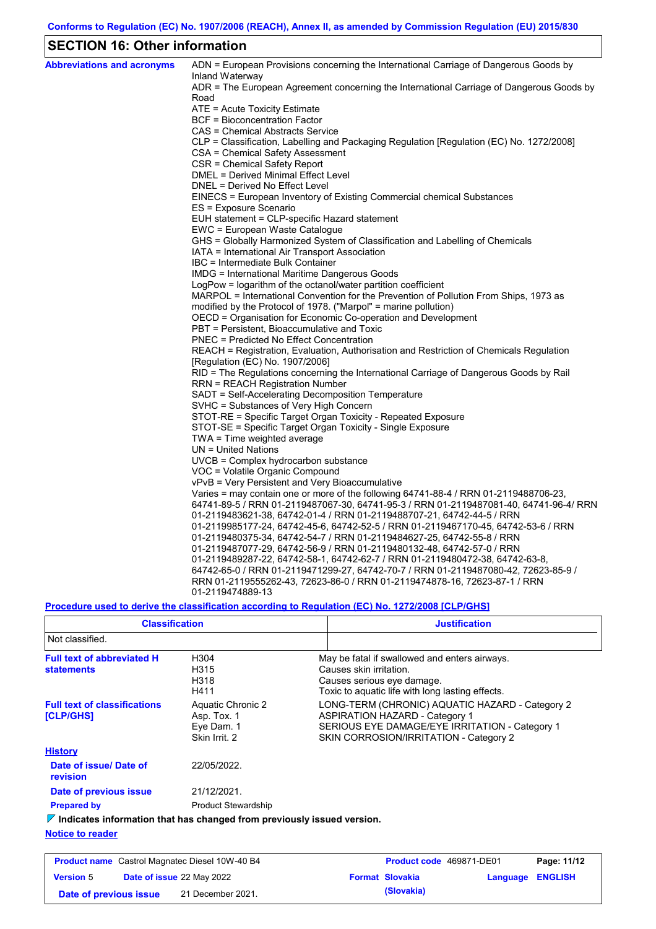# **SECTION 16: Other information**

| <b>Abbreviations and acronyms</b> | ADN = European Provisions concerning the International Carriage of Dangerous Goods by<br>Inland Waterway                                   |
|-----------------------------------|--------------------------------------------------------------------------------------------------------------------------------------------|
|                                   | ADR = The European Agreement concerning the International Carriage of Dangerous Goods by                                                   |
|                                   | Road                                                                                                                                       |
|                                   | ATE = Acute Toxicity Estimate                                                                                                              |
|                                   | BCF = Bioconcentration Factor                                                                                                              |
|                                   | CAS = Chemical Abstracts Service                                                                                                           |
|                                   | CLP = Classification, Labelling and Packaging Regulation [Regulation (EC) No. 1272/2008]                                                   |
|                                   | CSA = Chemical Safety Assessment                                                                                                           |
|                                   | CSR = Chemical Safety Report                                                                                                               |
|                                   | DMEL = Derived Minimal Effect Level                                                                                                        |
|                                   | DNEL = Derived No Effect Level                                                                                                             |
|                                   | EINECS = European Inventory of Existing Commercial chemical Substances                                                                     |
|                                   | ES = Exposure Scenario                                                                                                                     |
|                                   | EUH statement = CLP-specific Hazard statement                                                                                              |
|                                   | EWC = European Waste Catalogue                                                                                                             |
|                                   | GHS = Globally Harmonized System of Classification and Labelling of Chemicals                                                              |
|                                   | IATA = International Air Transport Association                                                                                             |
|                                   | IBC = Intermediate Bulk Container                                                                                                          |
|                                   | IMDG = International Maritime Dangerous Goods                                                                                              |
|                                   | LogPow = logarithm of the octanol/water partition coefficient                                                                              |
|                                   | MARPOL = International Convention for the Prevention of Pollution From Ships, 1973 as                                                      |
|                                   | modified by the Protocol of 1978. ("Marpol" = marine pollution)                                                                            |
|                                   | OECD = Organisation for Economic Co-operation and Development                                                                              |
|                                   | PBT = Persistent, Bioaccumulative and Toxic                                                                                                |
|                                   | <b>PNEC = Predicted No Effect Concentration</b><br>REACH = Registration, Evaluation, Authorisation and Restriction of Chemicals Regulation |
|                                   |                                                                                                                                            |
|                                   | [Regulation (EC) No. 1907/2006]<br>RID = The Regulations concerning the International Carriage of Dangerous Goods by Rail                  |
|                                   | RRN = REACH Registration Number                                                                                                            |
|                                   | SADT = Self-Accelerating Decomposition Temperature                                                                                         |
|                                   | SVHC = Substances of Very High Concern                                                                                                     |
|                                   | STOT-RE = Specific Target Organ Toxicity - Repeated Exposure                                                                               |
|                                   | STOT-SE = Specific Target Organ Toxicity - Single Exposure                                                                                 |
|                                   | $TWA = Time weighted average$                                                                                                              |
|                                   | $UN = United Nations$                                                                                                                      |
|                                   | UVCB = Complex hydrocarbon substance                                                                                                       |
|                                   | VOC = Volatile Organic Compound                                                                                                            |
|                                   | vPvB = Very Persistent and Very Bioaccumulative                                                                                            |
|                                   | Varies = may contain one or more of the following 64741-88-4 / RRN 01-2119488706-23,                                                       |
|                                   | 64741-89-5 / RRN 01-2119487067-30, 64741-95-3 / RRN 01-2119487081-40, 64741-96-4/ RRN                                                      |
|                                   | 01-2119483621-38, 64742-01-4 / RRN 01-2119488707-21, 64742-44-5 / RRN                                                                      |
|                                   | 01-2119985177-24, 64742-45-6, 64742-52-5 / RRN 01-2119467170-45, 64742-53-6 / RRN                                                          |
|                                   | 01-2119480375-34, 64742-54-7 / RRN 01-2119484627-25, 64742-55-8 / RRN                                                                      |
|                                   | 01-2119487077-29, 64742-56-9 / RRN 01-2119480132-48, 64742-57-0 / RRN                                                                      |
|                                   | 01-2119489287-22, 64742-58-1, 64742-62-7 / RRN 01-2119480472-38, 64742-63-8,                                                               |
|                                   | 64742-65-0 / RRN 01-2119471299-27, 64742-70-7 / RRN 01-2119487080-42, 72623-85-9 /                                                         |
|                                   | RRN 01-2119555262-43, 72623-86-0 / RRN 01-2119474878-16, 72623-87-1 / RRN                                                                  |
|                                   | 01-2119474889-13                                                                                                                           |

### **Procedure used to derive the classification according to Regulation (EC) No. 1272/2008 [CLP/GHS]**

| <b>Classification</b>                                                                  |                                                                 | <b>Justification</b>                                                                                                                                                                 |
|----------------------------------------------------------------------------------------|-----------------------------------------------------------------|--------------------------------------------------------------------------------------------------------------------------------------------------------------------------------------|
| Not classified.                                                                        |                                                                 |                                                                                                                                                                                      |
| <b>Full text of abbreviated H</b><br><b>statements</b>                                 | H304<br>H315<br>H318<br>H411                                    | May be fatal if swallowed and enters airways.<br>Causes skin irritation.<br>Causes serious eye damage.<br>Toxic to aquatic life with long lasting effects.                           |
| <b>Full text of classifications</b><br>[CLP/GHS]                                       | Aquatic Chronic 2<br>Asp. Tox. 1<br>Eye Dam. 1<br>Skin Irrit. 2 | LONG-TERM (CHRONIC) AQUATIC HAZARD - Category 2<br><b>ASPIRATION HAZARD - Category 1</b><br>SERIOUS EYE DAMAGE/EYE IRRITATION - Category 1<br>SKIN CORROSION/IRRITATION - Category 2 |
| <b>History</b>                                                                         |                                                                 |                                                                                                                                                                                      |
| Date of issue/Date of<br>revision                                                      | 22/05/2022.                                                     |                                                                                                                                                                                      |
| Date of previous issue                                                                 | 21/12/2021.                                                     |                                                                                                                                                                                      |
| <b>Prepared by</b>                                                                     | <b>Product Stewardship</b>                                      |                                                                                                                                                                                      |
| $\triangledown$ Indicates information that has changed from previously issued version. |                                                                 |                                                                                                                                                                                      |

### **Notice to reader**

| <b>Product name</b> Castrol Magnatec Diesel 10W-40 B4 |                                  | <b>Product code</b> 469871-DE01 |  | Page: 11/12            |                         |  |
|-------------------------------------------------------|----------------------------------|---------------------------------|--|------------------------|-------------------------|--|
| <b>Version 5</b>                                      | <b>Date of issue 22 May 2022</b> |                                 |  | <b>Format Slovakia</b> | <b>Language ENGLISH</b> |  |
| Date of previous issue                                |                                  | 21 December 2021.               |  | (Slovakia)             |                         |  |